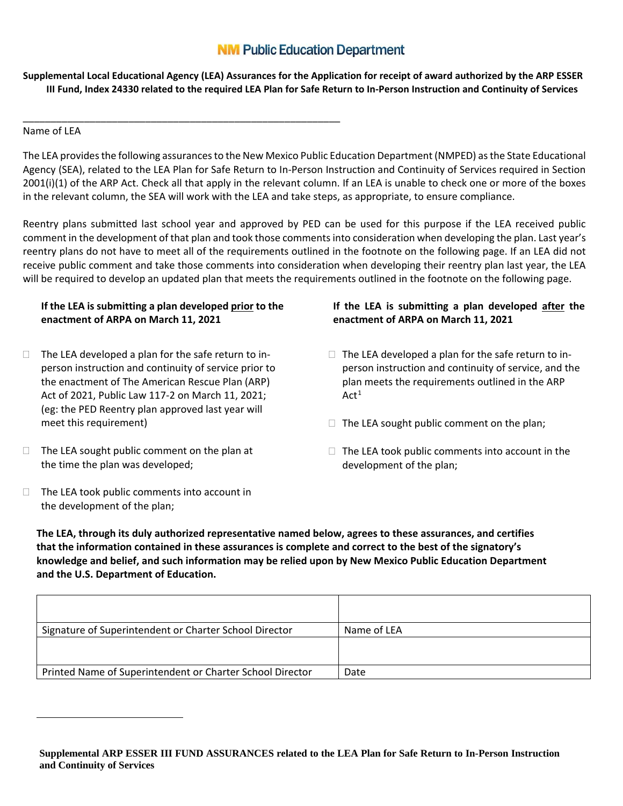## **NM Public Education Department**

**Supplemental Local Educational Agency (LEA) Assurances for the Application for receipt of award authorized by the ARP ESSER III Fund, Index 24330 related to the required LEA Plan for Safe Return to In-Person Instruction and Continuity of Services**

Name of LEA

 $\overline{a}$ 

The LEA provides the following assurances to the New Mexico Public Education Department (NMPED) as the State Educational Agency (SEA), related to the LEA Plan for Safe Return to In-Person Instruction and Continuity of Services required in Section 2001(i)(1) of the ARP Act. Check all that apply in the relevant column. If an LEA is unable to check one or more of the boxes in the relevant column, the SEA will work with the LEA and take steps, as appropriate, to ensure compliance.

Reentry plans submitted last school year and approved by PED can be used for this purpose if the LEA received public comment in the development of that plan and took those comments into consideration when developing the plan. Last year's reentry plans do not have to meet all of the requirements outlined in the footnote on the following page. If an LEA did not receive public comment and take those comments into consideration when developing their reentry plan last year, the LEA will be required to develop an updated plan that meets the requirements outlined in the footnote on the following page.

## **If the LEA is submitting a plan developed prior to the enactment of ARPA on March 11, 2021**

\_\_\_\_\_\_\_\_\_\_\_\_\_\_\_\_\_\_\_\_\_\_\_\_\_\_\_\_\_\_\_\_\_\_\_\_\_\_\_\_\_\_\_\_\_\_\_\_\_\_\_\_\_\_\_\_\_

- $\Box$  The LEA developed a plan for the safe return to inperson instruction and continuity of service prior to the enactment of The American Rescue Plan (ARP) Act of 2021, Public Law 117-2 on March 11, 2021; (eg: the PED Reentry plan approved last year will meet this requirement)
- $\Box$  The LEA sought public comment on the plan at the time the plan was developed;
- $\Box$  The LEA took public comments into account in the development of the plan;

## **If the LEA is submitting a plan developed after the enactment of ARPA on March 11, 2021**

- $\Box$  The LEA developed a plan for the safe return to inperson instruction and continuity of service, and the plan meets the requirements outlined in the ARP  $Act<sup>1</sup>$
- $\Box$  The LEA sought public comment on the plan;
- $\Box$  The LEA took public comments into account in the development of the plan;

**The LEA, through its duly authorized representative named below, agrees to these assurances, and certifies that the information contained in these assurances is complete and correct to the best of the signatory's knowledge and belief, and such information may be relied upon by New Mexico Public Education Department and the U.S. Department of Education.**

| Signature of Superintendent or Charter School Director    | Name of LEA |
|-----------------------------------------------------------|-------------|
|                                                           |             |
| Printed Name of Superintendent or Charter School Director | Date        |

**Supplemental ARP ESSER III FUND ASSURANCES related to the LEA Plan for Safe Return to In-Person Instruction and Continuity of Services**